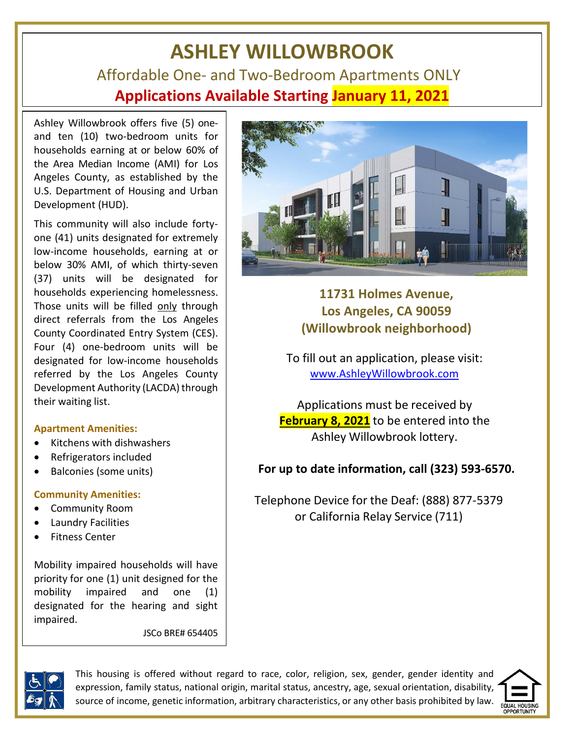# **ASHLEY WILLOWBROOK** Affordable One- and Two-Bedroom Apartments ONLY **Applications Available Starting January 11, 2021**

Ashley Willowbrook offers five (5) oneand ten (10) two-bedroom units for households earning at or below 60% of the Area Median Income (AMI) for Los Angeles County, as established by the U.S. Department of Housing and Urban Development (HUD).

This community will also include fortyone (41) units designated for extremely low-income households, earning at or below 30% AMI, of which thirty-seven (37) units will be designated for households experiencing homelessness. Those units will be filled only through direct referrals from the Los Angeles County Coordinated Entry System (CES). Four (4) one-bedroom units will be designated for low-income households referred by the Los Angeles County Development Authority (LACDA) through their waiting list.

#### **Apartment Amenities:**

- Kitchens with dishwashers
- Refrigerators included
- Balconies (some units)

## **Community Amenities:**

- Community Room
- Laundry Facilities
- Fitness Center

Mobility impaired households will have priority for one (1) unit designed for the mobility impaired and one (1) designated for the hearing and sight impaired.

JSCo BRE# 654405



**11731 Holmes Avenue, Los Angeles, CA 90059 (Willowbrook neighborhood)**

To fill out an application, please visit: [www.AshleyWillowbrook.com](http://www.ashleywillowbrook.com/)

Applications must be received by **February 8, 2021** to be entered into the Ashley Willowbrook lottery.

## **For up to date information, call (323) 593-6570.**

Telephone Device for the Deaf: (888) 877-5379 or California Relay Service (711)



This housing is offered without regard to race, color, religion, sex, gender, gender identity and expression, family status, national origin, marital status, ancestry, age, sexual orientation, disability, source of income, genetic information, arbitrary characteristics, or any other basis prohibited by law.

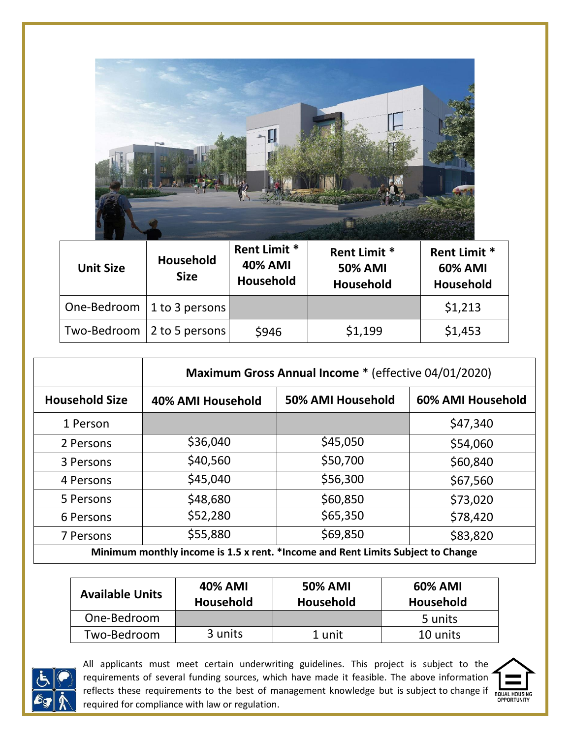

| <b>Unit Size</b> | <b>Household</b><br><b>Size</b> | <b>Rent Limit *</b><br><b>40% AMI</b><br><b>Household</b> | <b>Rent Limit *</b><br><b>50% AMI</b><br><b>Household</b> | <b>Rent Limit *</b><br><b>60% AMI</b><br>Household |
|------------------|---------------------------------|-----------------------------------------------------------|-----------------------------------------------------------|----------------------------------------------------|
|                  | One-Bedroom   1 to 3 persons    |                                                           |                                                           | \$1,213                                            |
|                  | Two-Bedroom   2 to 5 persons    | \$946                                                     | \$1,199                                                   | \$1,453                                            |

|                                                                                 | Maximum Gross Annual Income * (effective 04/01/2020) |                   |                   |  |
|---------------------------------------------------------------------------------|------------------------------------------------------|-------------------|-------------------|--|
| <b>Household Size</b>                                                           | 40% AMI Household                                    | 50% AMI Household | 60% AMI Household |  |
| 1 Person                                                                        |                                                      |                   | \$47,340          |  |
| 2 Persons                                                                       | \$36,040                                             | \$45,050          | \$54,060          |  |
| 3 Persons                                                                       | \$40,560                                             | \$50,700          | \$60,840          |  |
| 4 Persons                                                                       | \$45,040                                             | \$56,300          | \$67,560          |  |
| 5 Persons                                                                       | \$48,680                                             | \$60,850          | \$73,020          |  |
| 6 Persons                                                                       | \$52,280                                             | \$65,350          | \$78,420          |  |
| 7 Persons                                                                       | \$55,880                                             | \$69,850          | \$83,820          |  |
| Minimum monthly income is 1.5 x rent. *Income and Rent Limits Subject to Change |                                                      |                   |                   |  |

| <b>Available Units</b> | <b>40% AMI</b><br>Household | <b>50% AMI</b><br><b>Household</b> | <b>60% AMI</b><br>Household |
|------------------------|-----------------------------|------------------------------------|-----------------------------|
| One-Bedroom            |                             |                                    | 5 units                     |
| Two-Bedroom            | 3 units                     | 1 unit                             | 10 units                    |



All applicants must meet certain underwriting guidelines. This project is subject to the requirements of several funding sources, which have made it feasible. The above information requirements or several ranking sources, millen is subject to change if  $\frac{1}{\text{FQUAL HOUSING}}$ <br>reflects these requirements to the best of management knowledge but is subject to change if  $\frac{1}{\text{FQUAL HOUSING}}$ required for compliance with law or regulation.

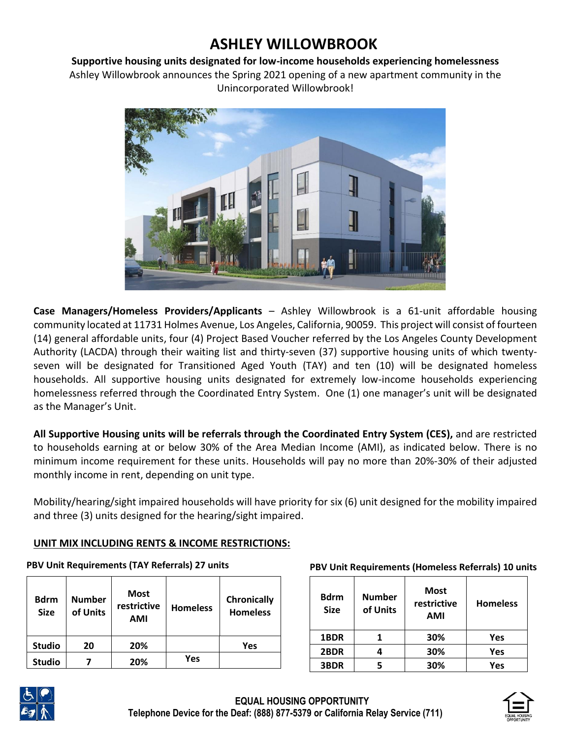## **ASHLEY WILLOWBROOK**

#### **Supportive housing units designated for low-income households experiencing homelessness**

Ashley Willowbrook announces the Spring 2021 opening of a new apartment community in the Unincorporated Willowbrook!



**Case Managers/Homeless Providers/Applicants** – Ashley Willowbrook is a 61-unit affordable housing community located at 11731 Holmes Avenue, Los Angeles, California, 90059. This project will consist of fourteen (14) general affordable units, four (4) Project Based Voucher referred by the Los Angeles County Development Authority (LACDA) through their waiting list and thirty-seven (37) supportive housing units of which twentyseven will be designated for Transitioned Aged Youth (TAY) and ten (10) will be designated homeless households. All supportive housing units designated for extremely low-income households experiencing homelessness referred through the Coordinated Entry System. One (1) one manager's unit will be designated as the Manager's Unit.

**All Supportive Housing units will be referrals through the Coordinated Entry System (CES),** and are restricted to households earning at or below 30% of the Area Median Income (AMI), as indicated below. There is no minimum income requirement for these units. Households will pay no more than 20%-30% of their adjusted monthly income in rent, depending on unit type.

Mobility/hearing/sight impaired households will have priority for six (6) unit designed for the mobility impaired and three (3) units designed for the hearing/sight impaired.

## **UNIT MIX INCLUDING RENTS & INCOME RESTRICTIONS:**

#### **PBV Unit Requirements (TAY Referrals) 27 units**

| <b>Bdrm</b><br><b>Size</b> | <b>Number</b><br>of Units | <b>Most</b><br>restrictive<br><b>AMI</b> | <b>Homeless</b> | Chronically<br><b>Homeless</b> |
|----------------------------|---------------------------|------------------------------------------|-----------------|--------------------------------|
| <b>Studio</b>              | 20                        | 20%                                      |                 | Yes                            |
| <b>Studio</b>              |                           | 20%                                      | Yes             |                                |

#### **PBV Unit Requirements (Homeless Referrals) 10 units**

| <b>Bdrm</b><br><b>Size</b> | <b>Number</b><br>of Units | <b>Most</b><br>restrictive<br><b>AMI</b> | <b>Homeless</b> |
|----------------------------|---------------------------|------------------------------------------|-----------------|
| 1BDR                       |                           | 30%                                      | Yes             |
| 2BDR                       |                           | 30%                                      | Yes             |
| 3BDR                       |                           | 30%                                      | Yes             |



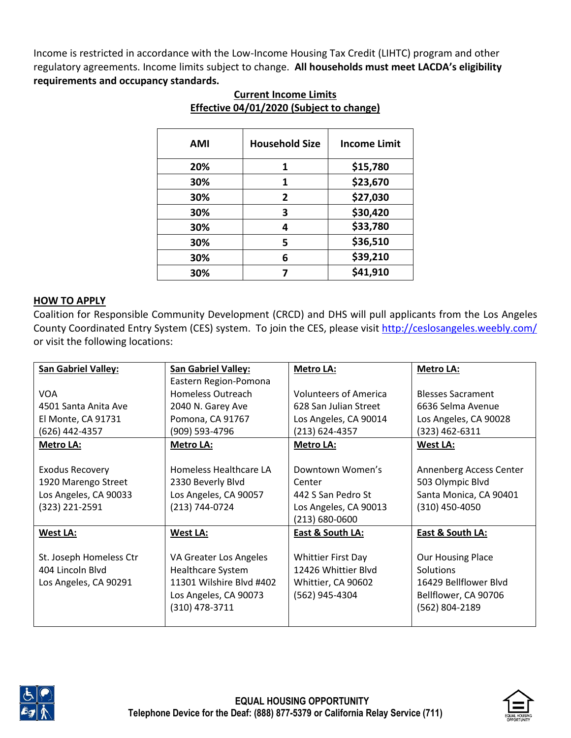Income is restricted in accordance with the Low-Income Housing Tax Credit (LIHTC) program and other regulatory agreements. Income limits subject to change. **All households must meet LACDA's eligibility requirements and occupancy standards.** 

| AMI | <b>Household Size</b> | <b>Income Limit</b> |
|-----|-----------------------|---------------------|
| 20% | 1                     | \$15,780            |
| 30% | 1                     | \$23,670            |
| 30% | 2                     | \$27,030            |
| 30% | 3                     | \$30,420            |
| 30% | 4                     | \$33,780            |
| 30% | 5                     | \$36,510            |
| 30% | 6                     | \$39,210            |
| 30% |                       | \$41,910            |

## **Current Income Limits Effective 04/01/2020 (Subject to change)**

## **HOW TO APPLY**

Coalition for Responsible Community Development (CRCD) and DHS will pull applicants from the Los Angeles County Coordinated Entry System (CES) system. To join the CES, please visit<http://ceslosangeles.weebly.com/> or visit the following locations:

| <b>San Gabriel Valley:</b> | <b>San Gabriel Valley:</b> | <b>Metro LA:</b>             | <b>Metro LA:</b>         |
|----------------------------|----------------------------|------------------------------|--------------------------|
|                            | Eastern Region-Pomona      |                              |                          |
| <b>VOA</b>                 | Homeless Outreach          | <b>Volunteers of America</b> | <b>Blesses Sacrament</b> |
| 4501 Santa Anita Ave       | 2040 N. Garey Ave          | 628 San Julian Street        | 6636 Selma Avenue        |
| El Monte, CA 91731         | Pomona, CA 91767           | Los Angeles, CA 90014        | Los Angeles, CA 90028    |
| (626) 442-4357             | (909) 593-4796             | (213) 624-4357               | (323) 462-6311           |
| <b>Metro LA:</b>           | <b>Metro LA:</b>           | <b>Metro LA:</b>             | <b>West LA:</b>          |
|                            |                            |                              |                          |
| <b>Exodus Recovery</b>     | Homeless Healthcare LA     | Downtown Women's             | Annenberg Access Center  |
| 1920 Marengo Street        | 2330 Beverly Blvd          | Center                       | 503 Olympic Blvd         |
| Los Angeles, CA 90033      | Los Angeles, CA 90057      | 442 S San Pedro St           | Santa Monica, CA 90401   |
| $(323)$ 221-2591           | (213) 744-0724             | Los Angeles, CA 90013        | $(310)$ 450-4050         |
|                            |                            | (213) 680-0600               |                          |
| <b>West LA:</b>            | <b>West LA:</b>            | East & South LA:             | East & South LA:         |
|                            |                            |                              |                          |
| St. Joseph Homeless Ctr    | VA Greater Los Angeles     | <b>Whittier First Day</b>    | <b>Our Housing Place</b> |
| 404 Lincoln Blvd           | Healthcare System          | 12426 Whittier Blyd          | <b>Solutions</b>         |
| Los Angeles, CA 90291      | 11301 Wilshire Blvd #402   | Whittier, CA 90602           | 16429 Bellflower Blvd    |
|                            | Los Angeles, CA 90073      | (562) 945-4304               | Bellflower, CA 90706     |
|                            | (310) 478-3711             |                              | (562) 804-2189           |
|                            |                            |                              |                          |





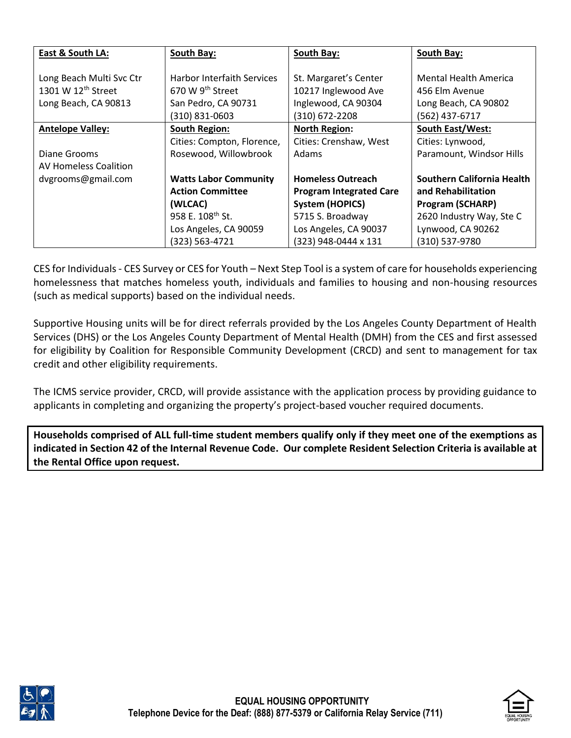| East & South LA:               | South Bay:                        | South Bay:                     | South Bay:                   |
|--------------------------------|-----------------------------------|--------------------------------|------------------------------|
|                                |                                   |                                |                              |
| Long Beach Multi Svc Ctr       | <b>Harbor Interfaith Services</b> | St. Margaret's Center          | <b>Mental Health America</b> |
| 1301 W 12 <sup>th</sup> Street | 670 W $9th$ Street                | 10217 Inglewood Ave            | 456 Elm Avenue               |
| Long Beach, CA 90813           | San Pedro, CA 90731               | Inglewood, CA 90304            | Long Beach, CA 90802         |
|                                | (310) 831-0603                    | (310) 672-2208                 | (562) 437-6717               |
| <b>Antelope Valley:</b>        | <b>South Region:</b>              | <b>North Region:</b>           | <b>South East/West:</b>      |
|                                | Cities: Compton, Florence,        | Cities: Crenshaw, West         | Cities: Lynwood,             |
| Diane Grooms                   | Rosewood, Willowbrook             | Adams                          | Paramount, Windsor Hills     |
| <b>AV Homeless Coalition</b>   |                                   |                                |                              |
| dvgrooms@gmail.com             | <b>Watts Labor Community</b>      | <b>Homeless Outreach</b>       | Southern California Health   |
|                                | <b>Action Committee</b>           | <b>Program Integrated Care</b> | and Rehabilitation           |
|                                | (WLCAC)                           | <b>System (HOPICS)</b>         | <b>Program (SCHARP)</b>      |
|                                | 958 E. 108 <sup>th</sup> St.      | 5715 S. Broadway               | 2620 Industry Way, Ste C     |
|                                | Los Angeles, CA 90059             | Los Angeles, CA 90037          | Lynwood, CA 90262            |
|                                | (323) 563-4721                    | (323) 948-0444 x 131           | (310) 537-9780               |

CES for Individuals - CES Survey or CES for Youth – Next Step Tool is a system of care for households experiencing homelessness that matches homeless youth, individuals and families to housing and non-housing resources (such as medical supports) based on the individual needs.

Supportive Housing units will be for direct referrals provided by the Los Angeles County Department of Health Services (DHS) or the Los Angeles County Department of Mental Health (DMH) from the CES and first assessed for eligibility by Coalition for Responsible Community Development (CRCD) and sent to management for tax credit and other eligibility requirements.

The ICMS service provider, CRCD, will provide assistance with the application process by providing guidance to applicants in completing and organizing the property's project-based voucher required documents.

**Households comprised of ALL full-time student members qualify only if they meet one of the exemptions as indicated in Section 42 of the Internal Revenue Code. Our complete Resident Selection Criteria is available at the Rental Office upon request.**





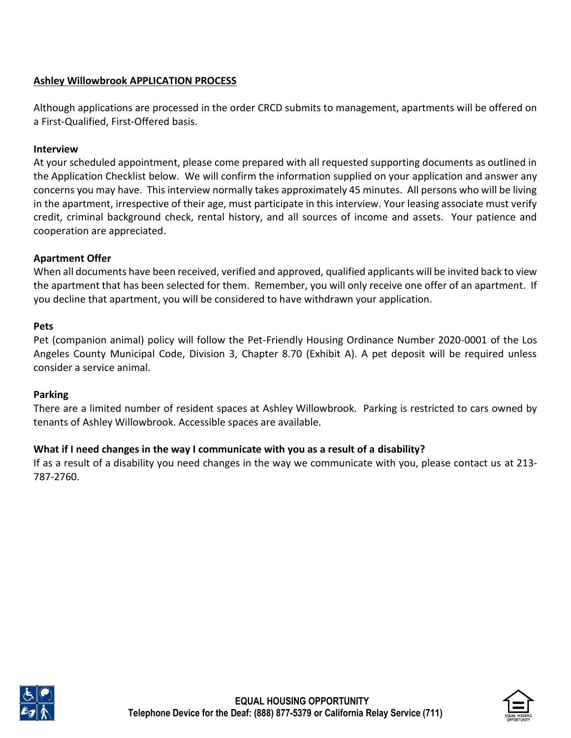## **Ashley Willowbrook APPLICATION PROCESS**

Although applications are processed in the order CRCD submits to management, apartments will be offered on a First-Qualified, First-Offered basis.

#### **Interview**

At your scheduled appointment, please come prepared with all requested supporting documents as outlined in the Application Checklist below. We will confirm the information supplied on your application and answer any concerns you may have. This interview normally takes approximately 45 minutes. All persons who will be living in the apartment, irrespective of their age, must participate in this interview. Your leasing associate must verify credit, criminal background check, rental history, and all sources of income and assets. Your patience and cooperation are appreciated.

## **Apartment Offer**

When all documents have been received, verified and approved, qualified applicants will be invited back to view the apartment that has been selected for them. Remember, you will only receive one offer of an apartment. If you decline that apartment, you will be considered to have withdrawn your application.

#### **Pets**

Pet (companion animal) policy will follow the Pet-Friendly Housing Ordinance Number 2020-0001 of the Los Angeles County Municipal Code, Division 3, Chapter 8.70 (Exhibit A). A pet deposit will be required unless consider a service animal.

## **Parking**

There are a limited number of resident spaces at Ashley Willowbrook. Parking is restricted to cars owned by tenants of Ashley Willowbrook. Accessible spaces are available.

## **What if I need changes in the way I communicate with you as a result of a disability?**

If as a result of a disability you need changes in the way we communicate with you, please contact us at 213- 787-2760.